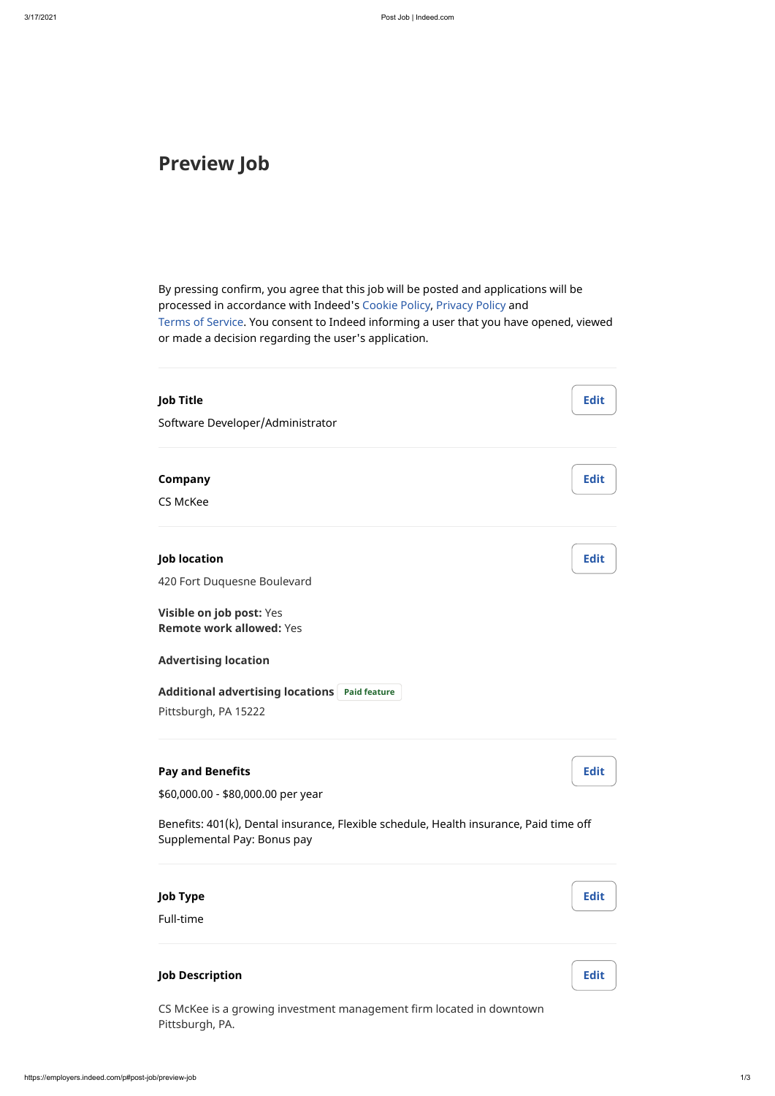# **Preview Job**

By pressing confirm, you agree that this job will be posted and applications will be processed in accordance with Indeed's [Cookie Policy,](http://www.indeed.com/legal?hl=en#cookies) [Privacy Policy](http://www.indeed.com/legal?hl=en#privacy) and [Terms of Service](http://www.indeed.com/legal?hl=en#tos). You consent to Indeed informing a user that you have opened, viewed or made a decision regarding the user's application.

## **Pay and Benefits**

\$60,000.00 - \$80,000.00 per year

| <b>Job Title</b>                                               | <b>Edit</b> |
|----------------------------------------------------------------|-------------|
| Software Developer/Administrator                               |             |
| <b>Company</b>                                                 | <b>Edit</b> |
| <b>CS McKee</b>                                                |             |
| <b>Job location</b>                                            | <b>Edit</b> |
| 420 Fort Duquesne Boulevard                                    |             |
| Visible on job post: Yes<br><b>Remote work allowed: Yes</b>    |             |
| <b>Advertising location</b>                                    |             |
| <b>Additional advertising locations</b><br><b>Paid feature</b> |             |
| Pittsburgh, PA 15222                                           |             |

Benefits: 401(k), Dental insurance, Flexible schedule, Health insurance, Paid time off

Supplemental Pay: Bonus pay

**Job Type** Full-time

**Job Description**

CS McKee is a growing investment management firm located in downtown Pittsburgh, PA.

**Edit**

**Edit**

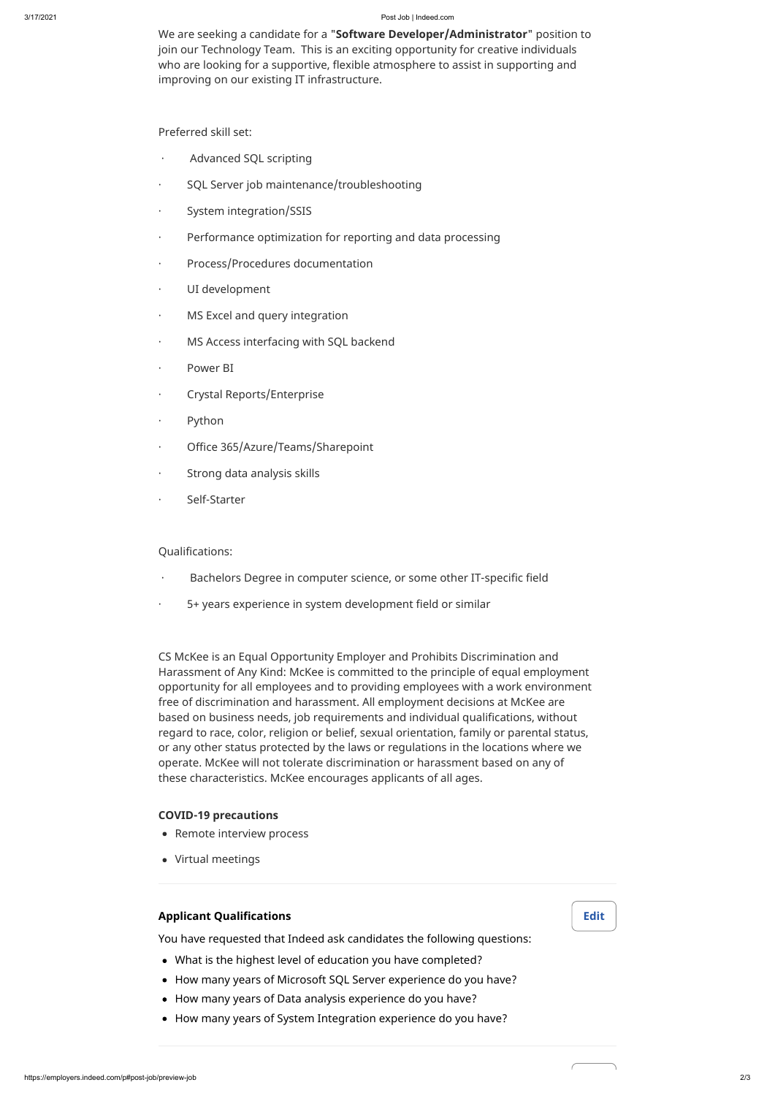#### 3/17/2021 Post Job | Indeed.com

We are seeking a candidate for a "**Software Developer/Administrator**" position to join our Technology Team. This is an exciting opportunity for creative individuals who are looking for a supportive, flexible atmosphere to assist in supporting and improving on our existing IT infrastructure.

Preferred skill set:

- Advanced SQL scripting
- · SQL Server job maintenance/troubleshooting
- · System integration/SSIS
- · Performance optimization for reporting and data processing
- · Process/Procedures documentation
- · UI development
- · MS Excel and query integration
- · MS Access interfacing with SQL backend
- · Power BI
- · Crystal Reports/Enterprise
- · Python
- · Office 365/Azure/Teams/Sharepoint
- · Strong data analysis skills
- · Self-Starter

- Bachelors Degree in computer science, or some other IT-specific field
- · 5+ years experience in system development field or similar

Qualifications:

- Remote interview process
- Virtual meetings

- What is the highest level of education you have completed?
- How many years of Microsoft SQL Server experience do you have?
- How many years of Data analysis experience do you have?
- How many years of System Integration experience do you have?

CS McKee is an Equal Opportunity Employer and Prohibits Discrimination and Harassment of Any Kind: McKee is committed to the principle of equal employment opportunity for all employees and to providing employees with a work environment free of discrimination and harassment. All employment decisions at McKee are based on business needs, job requirements and individual qualifications, without regard to race, color, religion or belief, sexual orientation, family or parental status, or any other status protected by the laws or regulations in the locations where we operate. McKee will not tolerate discrimination or harassment based on any of these characteristics. McKee encourages applicants of all ages.

### **COVID-19 precautions**

## **Applicant Qualifications**

You have requested that Indeed ask candidates the following questions: